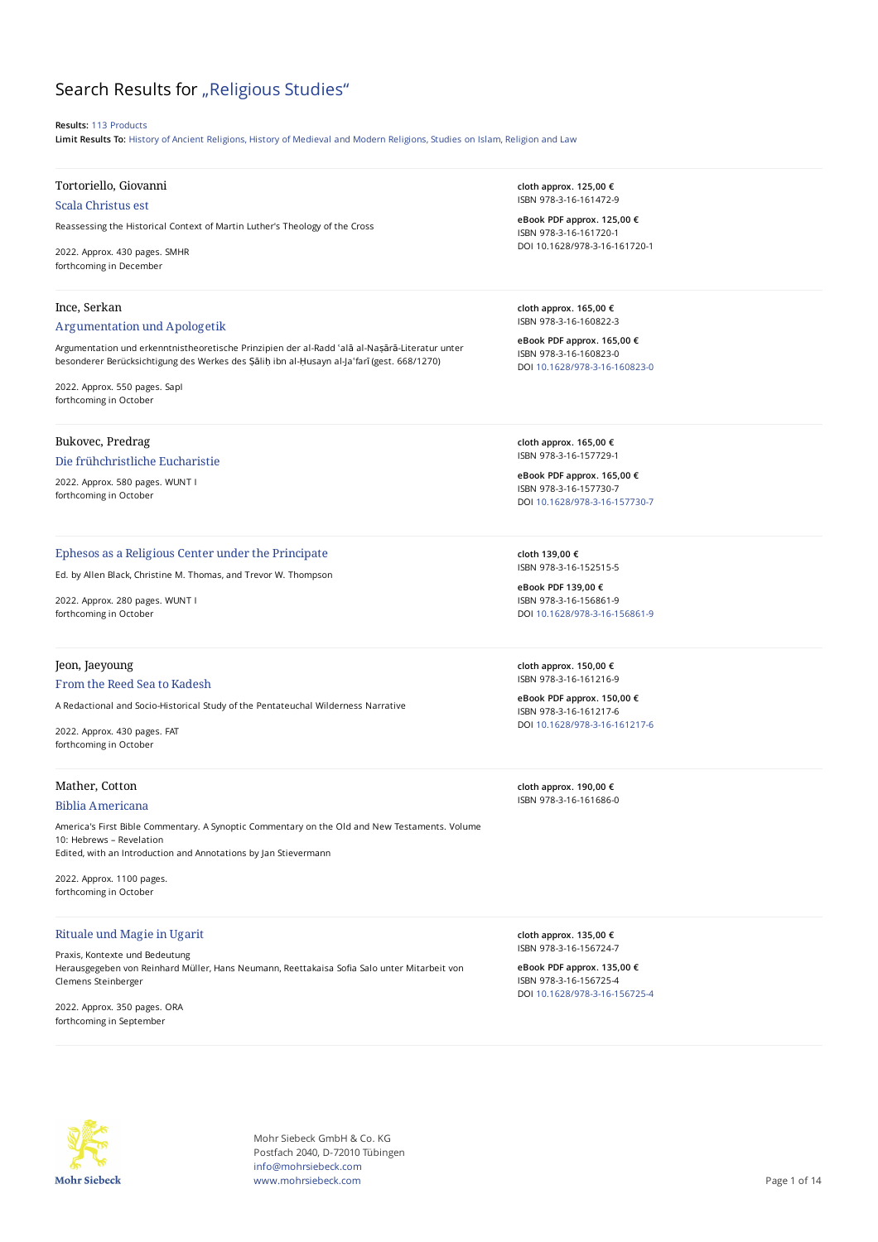# Search Results for "Religious Studies"

#### **Results:** 113 Products

**Limit Results To:** History of Ancient Religions, History of Medieval and Modern Religions, Studies on Islam, Religion and Law

## Tortoriello, Giovanni

Scala Christus est

Reassessing the Historical Context of Martin Luther's Theology of the Cross

2022. Approx. 430 pages. SMHR forthcoming in December

#### Ince, Serkan

#### Argumentation und Apologetik

Argumentation und erkenntnistheoretische Prinzipien der al-Radd ʿalā al-Naṣārā-Literatur unter besonderer Berücksichtigung des Werkes des Ṣāliḥ ibn al-Ḥusayn al-Jaʿfarī (gest. 668/1270)

2022. Approx. 550 pages. SapI forthcoming in October

#### Bukovec, Predrag

#### Die frühchristliche Eucharistie

2022. Approx. 580 pages. WUNT I forthcoming in October

#### Ephesos as a Religious Center under the Principate

Ed. by Allen Black, Christine M. Thomas, and Trevor W. Thompson

2022. Approx. 280 pages. WUNT I forthcoming in October

#### Jeon, Jaeyoung

#### From the Reed Sea to Kadesh

A Redactional and Socio-Historical Study of the Pentateuchal Wilderness Narrative

2022. Approx. 430 pages. FAT forthcoming in October

## Mather, Cotton

#### Biblia Americana

America's First Bible Commentary. A Synoptic Commentary on the Old and New Testaments. Volume 10: Hebrews – Revelation Edited, with an Introduction and Annotations by Jan Stievermann

2022. Approx. 1100 pages. forthcoming in October

#### Rituale und Magie in Ugarit

Praxis, Kontexte und Bedeutung Herausgegeben von Reinhard Müller, Hans Neumann, Reettakaisa Sofia Salo unter Mitarbeit von Clemens Steinberger

2022. Approx. 350 pages. ORA forthcoming in September

**cloth approx. 125,00 €** ISBN 978-3-16-161472-9

**eBook PDF approx. 125,00 €** ISBN 978-3-16-161720-1 DOI 10.1628/978-3-16-161720-1

**cloth approx. 165,00 €** ISBN 978-3-16-160822-3

**eBook PDF approx. 165,00 €** ISBN 978-3-16-160823-0 DOI [10.1628/978-3-16-160823-0](https://doi.org/10.1628/978-3-16-160823-0)

**cloth approx. 165,00 €** ISBN 978-3-16-157729-1

**eBook PDF approx. 165,00 €** ISBN 978-3-16-157730-7 DOI [10.1628/978-3-16-157730-7](https://doi.org/10.1628/978-3-16-157730-7)

**cloth 139,00 €** ISBN 978-3-16-152515-5

**eBook PDF 139,00 €** ISBN 978-3-16-156861-9 DOI [10.1628/978-3-16-156861-9](https://doi.org/10.1628/978-3-16-156861-9)

**cloth approx. 150,00 €** ISBN 978-3-16-161216-9

**eBook PDF approx. 150,00 €** ISBN 978-3-16-161217-6 DOI [10.1628/978-3-16-161217-6](https://doi.org/10.1628/978-3-16-161217-6)

**cloth approx. 190,00 €** ISBN 978-3-16-161686-0

**cloth approx. 135,00 €** ISBN 978-3-16-156724-7

**eBook PDF approx. 135,00 €** ISBN 978-3-16-156725-4 DOI [10.1628/978-3-16-156725-4](https://doi.org/10.1628/978-3-16-156725-4)



Mohr Siebeck GmbH & Co. KG Postfach 2040, D-72010 Tübingen info@mohrsiebeck.com www.mohrsiebeck.com **Page 1 of 14**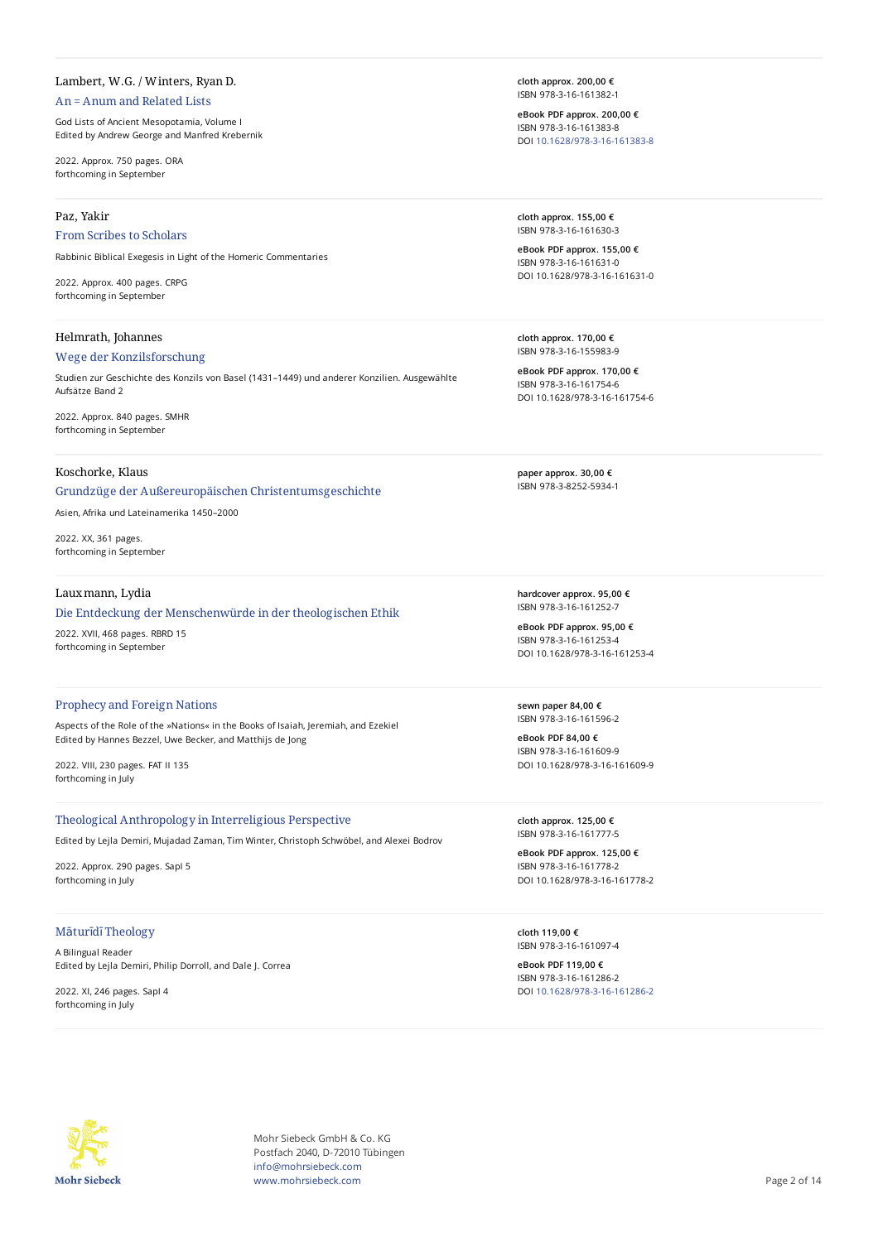# Lambert, W.G. / Winters, Ryan D.

## An = Anum and Related Lists

God Lists of Ancient Mesopotamia, Volume I Edited by Andrew George and Manfred Krebernik

2022. Approx. 750 pages. ORA forthcoming in September

#### Paz, Yakir

## From Scribes to Scholars

Rabbinic Biblical Exegesis in Light of the Homeric Commentaries

2022. Approx. 400 pages. CRPG forthcoming in September

## Helmrath, Johannes

## Wege der Konzilsforschung

Studien zur Geschichte des Konzils von Basel (1431–1449) und anderer Konzilien. Ausgewählte Aufsätze Band 2

2022. Approx. 840 pages. SMHR forthcoming in September

## Koschorke, Klaus

Grundzüge der Außereuropäischen Christentumsgeschichte

Asien, Afrika und Lateinamerika 1450–2000

2022. XX, 361 pages. forthcoming in September

# Lauxmann, Lydia

#### Die Entdeckung der Menschenwürde in der theologischen Ethik

2022. XVII, 468 pages. RBRD 15 forthcoming in September

#### Prophecy and Foreign Nations

Aspects of the Role of the »Nations« in the Books of Isaiah, Jeremiah, and Ezekiel Edited by Hannes Bezzel, Uwe Becker, and Matthijs de Jong

2022. VIII, 230 pages. FAT II 135 forthcoming in July

#### Theological Anthropology in Interreligious Perspective

Edited by Lejla Demiri, Mujadad Zaman, Tim Winter, Christoph Schwöbel, and Alexei Bodrov

2022. Approx. 290 pages. SapI 5 forthcoming in July

# Māturīdī Theology

A Bilingual Reader Edited by Lejla Demiri, Philip Dorroll, and Dale J. Correa

2022. XI, 246 pages. SapI 4 forthcoming in July

**cloth approx. 200,00 €** ISBN 978-3-16-161382-1

**eBook PDF approx. 200,00 €** ISBN 978-3-16-161383-8 DOI [10.1628/978-3-16-161383-8](https://doi.org/10.1628/978-3-16-161383-8)

**cloth approx. 155,00 €** ISBN 978-3-16-161630-3

**eBook PDF approx. 155,00 €** ISBN 978-3-16-161631-0 DOI 10.1628/978-3-16-161631-0

**cloth approx. 170,00 €** ISBN 978-3-16-155983-9

**eBook PDF approx. 170,00 €** ISBN 978-3-16-161754-6 DOI 10.1628/978-3-16-161754-6

**paper approx. 30,00 €** ISBN 978-3-8252-5934-1

**hardcover approx. 95,00 €** ISBN 978-3-16-161252-7

**eBook PDF approx. 95,00 €** ISBN 978-3-16-161253-4 DOI 10.1628/978-3-16-161253-4

**sewn paper 84,00 €** ISBN 978-3-16-161596-2

**eBook PDF 84,00 €** ISBN 978-3-16-161609-9 DOI 10.1628/978-3-16-161609-9

**cloth approx. 125,00 €** ISBN 978-3-16-161777-5

**eBook PDF approx. 125,00 €** ISBN 978-3-16-161778-2 DOI 10.1628/978-3-16-161778-2

**cloth 119,00 €** ISBN 978-3-16-161097-4

**eBook PDF 119,00 €** ISBN 978-3-16-161286-2 DOI [10.1628/978-3-16-161286-2](https://doi.org/10.1628/978-3-16-161286-2)



Mohr Siebeck GmbH & Co. KG Postfach 2040, D-72010 Tübingen info@mohrsiebeck.com www.mohrsiebeck.com **Page 2 of 14**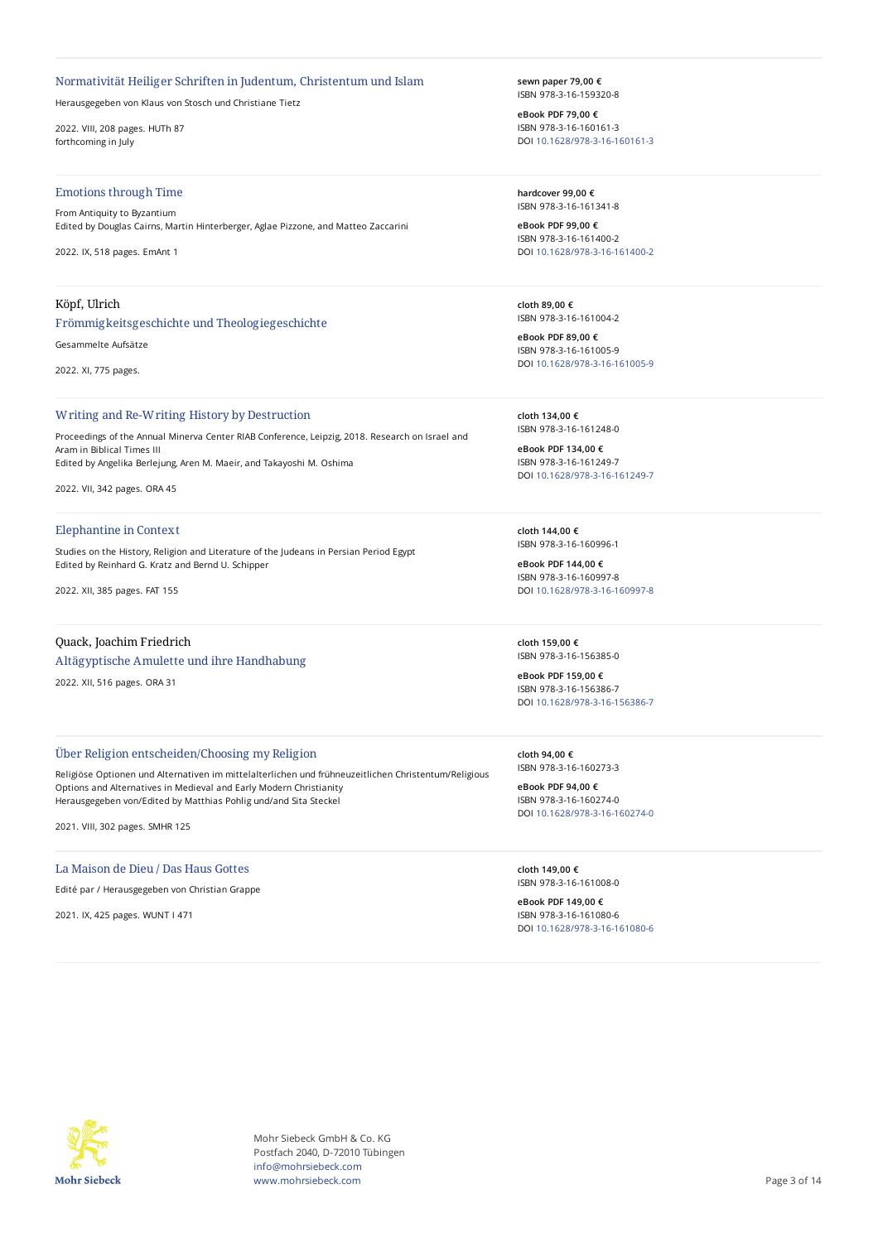## Normativität Heiliger Schriften in Judentum, Christentum und Islam

Herausgegeben von Klaus von Stosch und Christiane Tietz

2022. VIII, 208 pages. HUTh 87 forthcoming in July

#### Emotions through Time

From Antiquity to Byzantium Edited by Douglas Cairns, Martin Hinterberger, Aglae Pizzone, and Matteo Zaccarini

2022. IX, 518 pages. EmAnt 1

## Köpf, Ulrich

## Frömmigkeitsgeschichte und Theologiegeschichte

Gesammelte Aufsätze

2022. XI, 775 pages.

#### Writing and Re-Writing History by Destruction

Proceedings of the Annual Minerva Center RIAB Conference, Leipzig, 2018. Research on Israel and Aram in Biblical Times III Edited by Angelika Berlejung, Aren M. Maeir, and Takayoshi M. Oshima

2022. VII, 342 pages. ORA 45

## Elephantine in Context

Studies on the History, Religion and Literature of the Judeans in Persian Period Egypt Edited by Reinhard G. Kratz and Bernd U. Schipper

2022. XII, 385 pages. FAT 155

# Quack, Joachim Friedrich

Altägyptische Amulette und ihre Handhabung

2022. XII, 516 pages. ORA 31

## Über Religion entscheiden/Choosing my Religion

Religiöse Optionen und Alternativen im mittelalterlichen und frühneuzeitlichen Christentum/Religious Options and Alternatives in Medieval and Early Modern Christianity Herausgegeben von/Edited by Matthias Pohlig und/and Sita Steckel

2021. VIII, 302 pages. SMHR 125

## La Maison de Dieu / Das Haus Gottes

Edité par / Herausgegeben von Christian Grappe

2021. IX, 425 pages. WUNT I 471

**sewn paper 79,00 €** ISBN 978-3-16-159320-8

**eBook PDF 79,00 €** ISBN 978-3-16-160161-3 DOI [10.1628/978-3-16-160161-3](https://doi.org/10.1628/978-3-16-160161-3)

**hardcover 99,00 €** ISBN 978-3-16-161341-8

**eBook PDF 99,00 €** ISBN 978-3-16-161400-2 DOI [10.1628/978-3-16-161400-2](https://doi.org/10.1628/978-3-16-161400-2)

**cloth 89,00 €** ISBN 978-3-16-161004-2

**eBook PDF 89,00 €** ISBN 978-3-16-161005-9 DOI [10.1628/978-3-16-161005-9](https://doi.org/10.1628/978-3-16-161005-9)

**cloth 134,00 €** ISBN 978-3-16-161248-0

**eBook PDF 134,00 €** ISBN 978-3-16-161249-7 DOI [10.1628/978-3-16-161249-7](https://doi.org/10.1628/978-3-16-161249-7)

**cloth 144,00 €** ISBN 978-3-16-160996-1

**eBook PDF 144,00 €** ISBN 978-3-16-160997-8 DOI [10.1628/978-3-16-160997-8](https://doi.org/10.1628/978-3-16-160997-8)

**cloth 159,00 €** ISBN 978-3-16-156385-0

**eBook PDF 159,00 €** ISBN 978-3-16-156386-7 DOI [10.1628/978-3-16-156386-7](https://doi.org/10.1628/978-3-16-156386-7)

**cloth 94,00 €** ISBN 978-3-16-160273-3

**eBook PDF 94,00 €** ISBN 978-3-16-160274-0 DOI [10.1628/978-3-16-160274-0](https://doi.org/10.1628/978-3-16-160274-0)

**cloth 149,00 €** ISBN 978-3-16-161008-0

**eBook PDF 149,00 €** ISBN 978-3-16-161080-6 DOI [10.1628/978-3-16-161080-6](https://doi.org/10.1628/978-3-16-161080-6)



Mohr Siebeck GmbH & Co. KG Postfach 2040, D-72010 Tübingen info@mohrsiebeck.com www.mohrsiebeck.com **Page 3 of 14**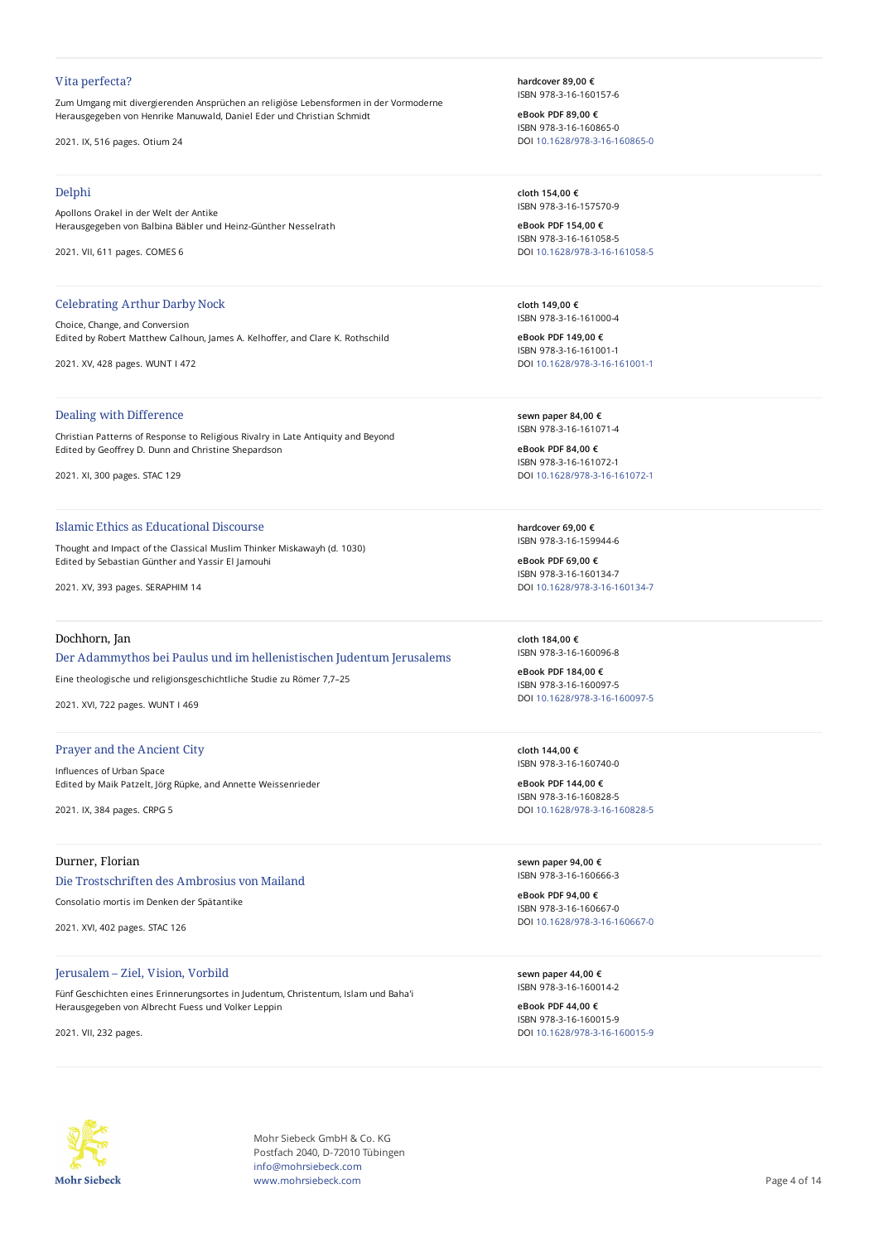#### Vita perfecta?

Zum Umgang mit divergierenden Ansprüchen an religiöse Lebensformen in der Vormoderne Herausgegeben von Henrike Manuwald, Daniel Eder und Christian Schmidt

2021. IX, 516 pages. Otium 24

#### Delphi

Apollons Orakel in der Welt der Antike Herausgegeben von Balbina Bäbler und Heinz-Günther Nesselrath

2021. VII, 611 pages. COMES 6

#### Celebrating Arthur Darby Nock

Choice, Change, and Conversion Edited by Robert Matthew Calhoun, James A. Kelhoffer, and Clare K. Rothschild

2021. XV, 428 pages. WUNT I 472

## Dealing with Difference

Christian Patterns of Response to Religious Rivalry in Late Antiquity and Beyond Edited by Geoffrey D. Dunn and Christine Shepardson

2021. XI, 300 pages. STAC 129

#### Islamic Ethics as Educational Discourse

Thought and Impact of the Classical Muslim Thinker Miskawayh (d. 1030) Edited by Sebastian Günther and Yassir El Jamouhi

2021. XV, 393 pages. SERAPHIM 14

# Dochhorn, Jan

Der Adammythos bei Paulus und im hellenistischen Judentum Jerusalems

Eine theologische und religionsgeschichtliche Studie zu Römer 7,7–25

2021. XVI, 722 pages. WUNT I 469

#### Prayer and the Ancient City

InTuences of Urban Space Edited by Maik Patzelt, Jörg Rüpke, and Annette Weissenrieder

2021. IX, 384 pages. CRPG 5

# Durner, Florian

Die Trostschriften des Ambrosius von Mailand

Consolatio mortis im Denken der Spätantike

2021. XVI, 402 pages. STAC 126

## Jerusalem – Ziel, Vision, Vorbild

Fünf Geschichten eines Erinnerungsortes in Judentum, Christentum, Islam und Baha'i Herausgegeben von Albrecht Fuess und Volker Leppin

2021. VII, 232 pages.

**hardcover 89,00 €** ISBN 978-3-16-160157-6

**eBook PDF 89,00 €** ISBN 978-3-16-160865-0 DOI [10.1628/978-3-16-160865-0](https://doi.org/10.1628/978-3-16-160865-0)

**cloth 154,00 €** ISBN 978-3-16-157570-9

**eBook PDF 154,00 €** ISBN 978-3-16-161058-5 DOI [10.1628/978-3-16-161058-5](https://doi.org/10.1628/978-3-16-161058-5)

**cloth 149,00 €** ISBN 978-3-16-161000-4

**eBook PDF 149,00 €** ISBN 978-3-16-161001-1 DOI [10.1628/978-3-16-161001-1](https://doi.org/10.1628/978-3-16-161001-1)

**sewn paper 84,00 €** ISBN 978-3-16-161071-4

**eBook PDF 84,00 €** ISBN 978-3-16-161072-1 DOI [10.1628/978-3-16-161072-1](https://doi.org/10.1628/978-3-16-161072-1)

**hardcover 69,00 €** ISBN 978-3-16-159944-6

**eBook PDF 69,00 €** ISBN 978-3-16-160134-7 DOI [10.1628/978-3-16-160134-7](https://doi.org/10.1628/978-3-16-160134-7)

**cloth 184,00 €** ISBN 978-3-16-160096-8

**eBook PDF 184,00 €** ISBN 978-3-16-160097-5 DOI [10.1628/978-3-16-160097-5](https://doi.org/10.1628/978-3-16-160097-5)

**cloth 144,00 €** ISBN 978-3-16-160740-0

**eBook PDF 144,00 €** ISBN 978-3-16-160828-5 DOI [10.1628/978-3-16-160828-5](https://doi.org/10.1628/978-3-16-160828-5)

**sewn paper 94,00 €** ISBN 978-3-16-160666-3

**eBook PDF 94,00 €** ISBN 978-3-16-160667-0 DOI [10.1628/978-3-16-160667-0](https://doi.org/10.1628/978-3-16-160667-0)

**sewn paper 44,00 €** ISBN 978-3-16-160014-2

**eBook PDF 44,00 €** ISBN 978-3-16-160015-9 DOI [10.1628/978-3-16-160015-9](https://doi.org/10.1628/978-3-16-160015-9)



Mohr Siebeck GmbH & Co. KG Postfach 2040, D-72010 Tübingen info@mohrsiebeck.com www.mohrsiebeck.com **Page 4 of 14**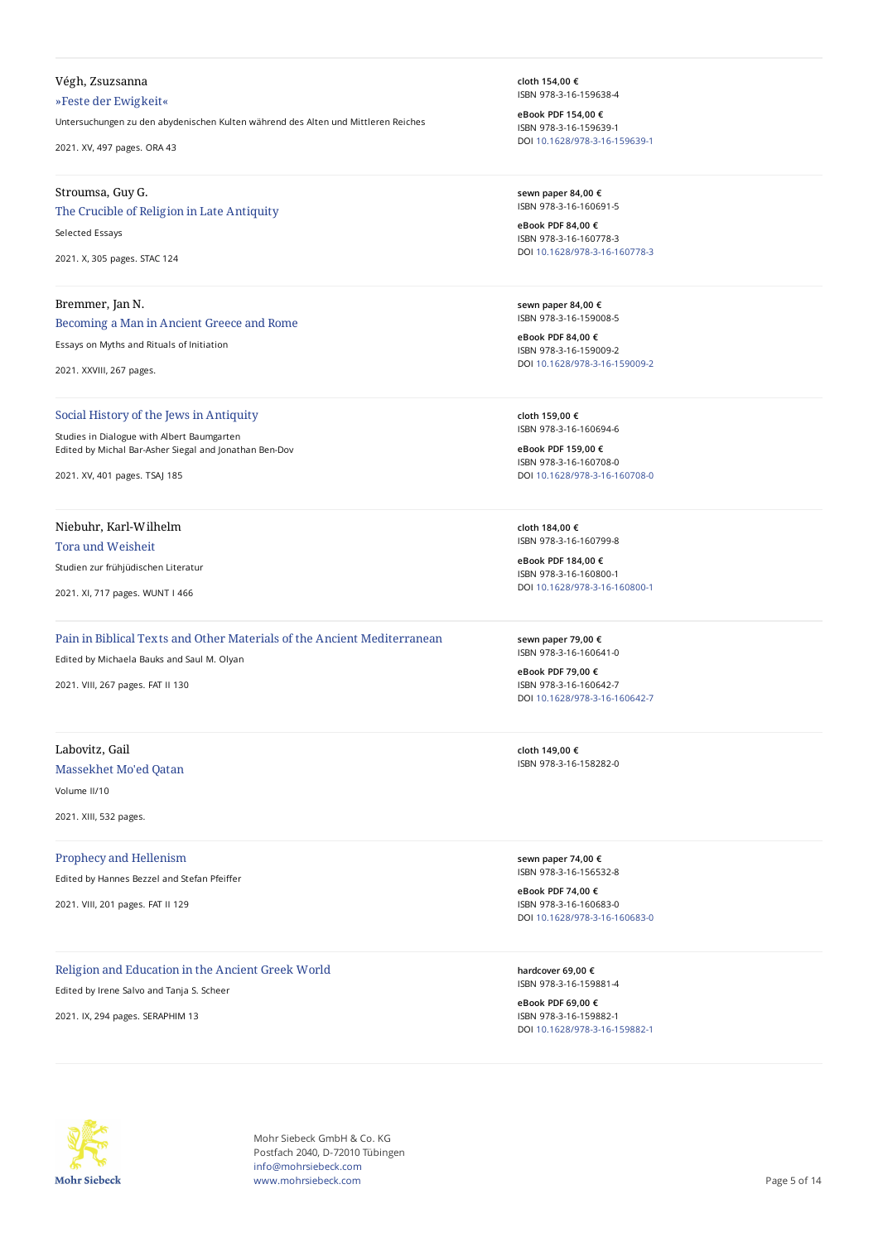## Végh, Zsuzsanna

»Feste der Ewigkeit«

Untersuchungen zu den abydenischen Kulten während des Alten und Mittleren Reiches

2021. XV, 497 pages. ORA 43

## Stroumsa, Guy G.

## The Crucible of Religion in Late Antiquity

Selected Essays

2021. X, 305 pages. STAC 124

## Bremmer, Jan N.

Becoming a Man in Ancient Greece and Rome

Essays on Myths and Rituals of Initiation

2021. XXVIII, 267 pages.

## Social History of the Jews in Antiquity

Studies in Dialogue with Albert Baumgarten Edited by Michal Bar-Asher Siegal and Jonathan Ben-Dov

2021. XV, 401 pages. TSAJ 185

# Niebuhr, Karl-Wilhelm

#### Tora und Weisheit

Studien zur frühjüdischen Literatur

2021. XI, 717 pages. WUNT I 466

# Pain in Biblical Texts and Other Materials of the Ancient Mediterranean

Edited by Michaela Bauks and Saul M. Olyan

2021. VIII, 267 pages. FAT II 130

# Labovitz, Gail Massekhet Mo'ed Qatan

Volume II/10

2021. XIII, 532 pages.

#### Prophecy and Hellenism

Edited by Hannes Bezzel and Stefan Pfeiffer

2021. VIII, 201 pages. FAT II 129

## Religion and Education in the Ancient Greek World

Edited by Irene Salvo and Tanja S. Scheer

2021. IX, 294 pages. SERAPHIM 13

**cloth 154,00 €** ISBN 978-3-16-159638-4

**eBook PDF 154,00 €** ISBN 978-3-16-159639-1 DOI [10.1628/978-3-16-159639-1](https://doi.org/10.1628/978-3-16-159639-1)

**sewn paper 84,00 €** ISBN 978-3-16-160691-5

**eBook PDF 84,00 €** ISBN 978-3-16-160778-3 DOI [10.1628/978-3-16-160778-3](https://doi.org/10.1628/978-3-16-160778-3)

**sewn paper 84,00 €** ISBN 978-3-16-159008-5

**eBook PDF 84,00 €** ISBN 978-3-16-159009-2 DOI [10.1628/978-3-16-159009-2](https://doi.org/10.1628/978-3-16-159009-2)

**cloth 159,00 €** ISBN 978-3-16-160694-6

**eBook PDF 159,00 €** ISBN 978-3-16-160708-0 DOI [10.1628/978-3-16-160708-0](https://doi.org/10.1628/978-3-16-160708-0)

**cloth 184,00 €** ISBN 978-3-16-160799-8

**eBook PDF 184,00 €** ISBN 978-3-16-160800-1 DOI [10.1628/978-3-16-160800-1](https://doi.org/10.1628/978-3-16-160800-1)

**sewn paper 79,00 €** ISBN 978-3-16-160641-0

**eBook PDF 79,00 €** ISBN 978-3-16-160642-7 DOI [10.1628/978-3-16-160642-7](https://doi.org/10.1628/978-3-16-160642-7)

**cloth 149,00 €** ISBN 978-3-16-158282-0

**sewn paper 74,00 €** ISBN 978-3-16-156532-8

**eBook PDF 74,00 €** ISBN 978-3-16-160683-0 DOI [10.1628/978-3-16-160683-0](https://doi.org/10.1628/978-3-16-160683-0)

**hardcover 69,00 €** ISBN 978-3-16-159881-4

**eBook PDF 69,00 €** ISBN 978-3-16-159882-1 DOI [10.1628/978-3-16-159882-1](https://doi.org/10.1628/978-3-16-159882-1)



Mohr Siebeck GmbH & Co. KG Postfach 2040, D-72010 Tübingen info@mohrsiebeck.com www.mohrsiebeck.com **Page 5 of 14**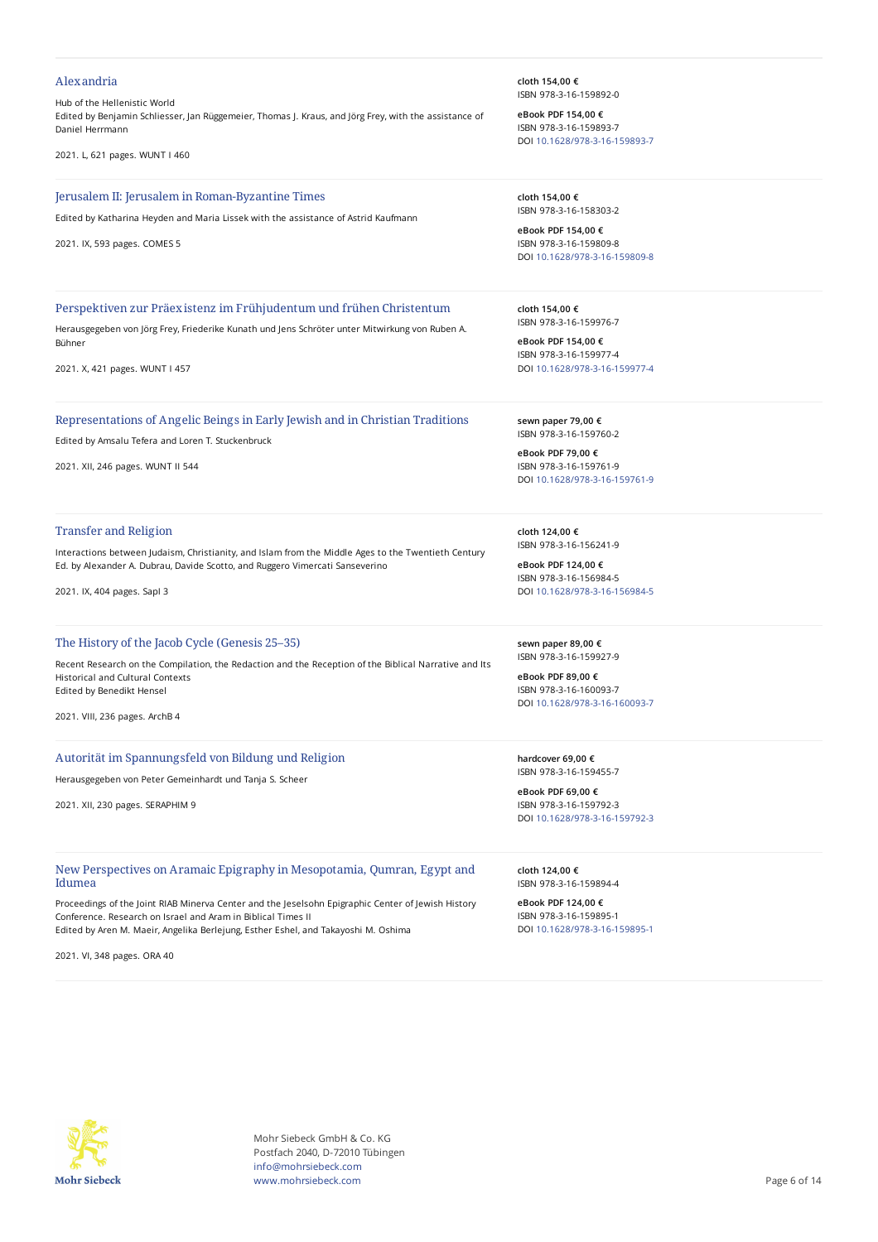#### Alexandria

#### Hub of the Hellenistic World

Edited by Benjamin Schliesser, Jan Rüggemeier, Thomas J. Kraus, and Jörg Frey, with the assistance of Daniel Herrmann

2021. L, 621 pages. WUNT I 460

#### Jerusalem II: Jerusalem in Roman-Byzantine Times

Edited by Katharina Heyden and Maria Lissek with the assistance of Astrid Kaufmann

2021. IX, 593 pages. COMES 5

#### Perspektiven zur Präexistenz im Frühjudentum und frühen Christentum

Herausgegeben von Jörg Frey, Friederike Kunath und Jens Schröter unter Mitwirkung von Ruben A. Bühner

2021. X, 421 pages. WUNT I 457

#### Representations of Angelic Beings in Early Jewish and in Christian Traditions

Edited by Amsalu Tefera and Loren T. Stuckenbruck

2021. XII, 246 pages. WUNT II 544

#### Transfer and Religion

Interactions between Judaism, Christianity, and Islam from the Middle Ages to the Twentieth Century Ed. by Alexander A. Dubrau, Davide Scotto, and Ruggero Vimercati Sanseverino

2021. IX, 404 pages. SapI 3

## The History of the Jacob Cycle (Genesis 25–35)

Recent Research on the Compilation, the Redaction and the Reception of the Biblical Narrative and Its Historical and Cultural Contexts Edited by Benedikt Hensel

2021. VIII, 236 pages. ArchB 4

#### Autorität im Spannungsfeld von Bildung und Religion

Herausgegeben von Peter Gemeinhardt und Tanja S. Scheer

2021. XII, 230 pages. SERAPHIM 9

## New Perspectives on Aramaic Epigraphy in Mesopotamia, Qumran, Egypt and Idumea

Proceedings of the Joint RIAB Minerva Center and the Jeselsohn Epigraphic Center of Jewish History Conference. Research on Israel and Aram in Biblical Times II Edited by Aren M. Maeir, Angelika Berlejung, Esther Eshel, and Takayoshi M. Oshima

2021. VI, 348 pages. ORA 40

**cloth 154,00 €** ISBN 978-3-16-159892-0

**eBook PDF 154,00 €** ISBN 978-3-16-159893-7 DOI [10.1628/978-3-16-159893-7](https://doi.org/10.1628/978-3-16-159893-7)

**cloth 154,00 €** ISBN 978-3-16-158303-2

**eBook PDF 154,00 €** ISBN 978-3-16-159809-8 DOI [10.1628/978-3-16-159809-8](https://doi.org/10.1628/978-3-16-159809-8)

**cloth 154,00 €** ISBN 978-3-16-159976-7

**eBook PDF 154,00 €** ISBN 978-3-16-159977-4 DOI [10.1628/978-3-16-159977-4](https://doi.org/10.1628/978-3-16-159977-4)

**sewn paper 79,00 €** ISBN 978-3-16-159760-2

**eBook PDF 79,00 €** ISBN 978-3-16-159761-9 DOI [10.1628/978-3-16-159761-9](https://doi.org/10.1628/978-3-16-159761-9)

**cloth 124,00 €** ISBN 978-3-16-156241-9

**eBook PDF 124,00 €** ISBN 978-3-16-156984-5 DOI [10.1628/978-3-16-156984-5](https://doi.org/10.1628/978-3-16-156984-5)

**sewn paper 89,00 €** ISBN 978-3-16-159927-9

**eBook PDF 89,00 €** ISBN 978-3-16-160093-7 DOI [10.1628/978-3-16-160093-7](https://doi.org/10.1628/978-3-16-160093-7)

**hardcover 69,00 €** ISBN 978-3-16-159455-7

**eBook PDF 69,00 €** ISBN 978-3-16-159792-3 DOI [10.1628/978-3-16-159792-3](https://doi.org/10.1628/978-3-16-159792-3)

**cloth 124,00 €** ISBN 978-3-16-159894-4

**eBook PDF 124,00 €** ISBN 978-3-16-159895-1 DOI [10.1628/978-3-16-159895-1](https://doi.org/10.1628/978-3-16-159895-1)



Mohr Siebeck GmbH & Co. KG Postfach 2040, D-72010 Tübingen info@mohrsiebeck.com www.mohrsiebeck.com **Page 6 of 14**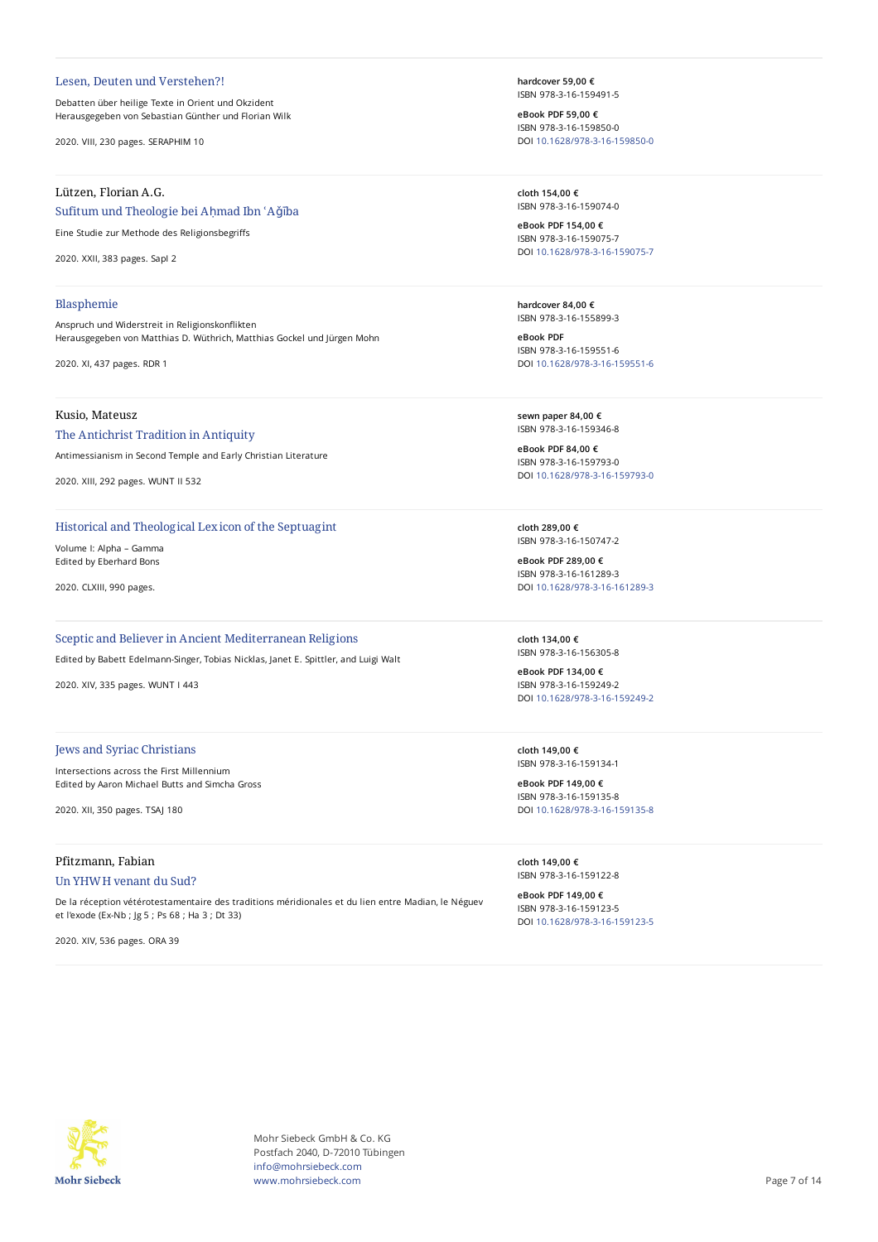#### Lesen, Deuten und Verstehen?!

Debatten über heilige Texte in Orient und Okzident Herausgegeben von Sebastian Günther und Florian Wilk

2020. VIII, 230 pages. SERAPHIM 10

## Lützen, Florian A.G.

## Sufitum und Theologie bei Ahmad Ibn 'Aǧība

Eine Studie zur Methode des Religionsbegriffs

2020. XXII, 383 pages. SapI 2

#### Blasphemie

Anspruch und Widerstreit in Religionskonflikten Herausgegeben von Matthias D. Wüthrich, Matthias Gockel und Jürgen Mohn

2020. XI, 437 pages. RDR 1

# Kusio, Mateusz

The Antichrist Tradition in Antiquity

Antimessianism in Second Temple and Early Christian Literature

2020. XIII, 292 pages. WUNT II 532

## Historical and Theological Lexicon of the Septuagint

Volume I: Alpha – Gamma Edited by Eberhard Bons

2020. CLXIII, 990 pages.

# Sceptic and Believer in Ancient Mediterranean Religions

Edited by Babett Edelmann-Singer, Tobias Nicklas, Janet E. Spittler, and Luigi Walt

2020. XIV, 335 pages. WUNT I 443

#### Jews and Syriac Christians

Intersections across the First Millennium Edited by Aaron Michael Butts and Simcha Gross

2020. XII, 350 pages. TSAJ 180

# Pfitzmann, Fabian Un YHWH venant du Sud?

De la réception vétérotestamentaire des traditions méridionales et du lien entre Madian, le Néguev et l'exode (Ex-Nb ; Jg 5 ; Ps 68 ; Ha 3 ; Dt 33)

2020. XIV, 536 pages. ORA 39

**hardcover 59,00 €** ISBN 978-3-16-159491-5

**eBook PDF 59,00 €** ISBN 978-3-16-159850-0 DOI [10.1628/978-3-16-159850-0](https://doi.org/10.1628/978-3-16-159850-0)

**cloth 154,00 €** ISBN 978-3-16-159074-0

**eBook PDF 154,00 €** ISBN 978-3-16-159075-7 DOI [10.1628/978-3-16-159075-7](https://doi.org/10.1628/978-3-16-159075-7)

**hardcover 84,00 €** ISBN 978-3-16-155899-3

**eBook PDF** ISBN 978-3-16-159551-6 DOI [10.1628/978-3-16-159551-6](https://doi.org/10.1628/978-3-16-159551-6)

**sewn paper 84,00 €** ISBN 978-3-16-159346-8

**eBook PDF 84,00 €** ISBN 978-3-16-159793-0 DOI [10.1628/978-3-16-159793-0](https://doi.org/10.1628/978-3-16-159793-0)

**cloth 289,00 €** ISBN 978-3-16-150747-2

**eBook PDF 289,00 €** ISBN 978-3-16-161289-3 DOI [10.1628/978-3-16-161289-3](https://doi.org/10.1628/978-3-16-161289-3)

**cloth 134,00 €** ISBN 978-3-16-156305-8

**eBook PDF 134,00 €** ISBN 978-3-16-159249-2 DOI [10.1628/978-3-16-159249-2](https://doi.org/10.1628/978-3-16-159249-2)

**cloth 149,00 €** ISBN 978-3-16-159134-1

**eBook PDF 149,00 €** ISBN 978-3-16-159135-8 DOI [10.1628/978-3-16-159135-8](https://doi.org/10.1628/978-3-16-159135-8)

**cloth 149,00 €** ISBN 978-3-16-159122-8

**eBook PDF 149,00 €** ISBN 978-3-16-159123-5 DOI [10.1628/978-3-16-159123-5](https://doi.org/10.1628/978-3-16-159123-5)



Mohr Siebeck GmbH & Co. KG Postfach 2040, D-72010 Tübingen info@mohrsiebeck.com www.mohrsiebeck.com **Page 7 of 14**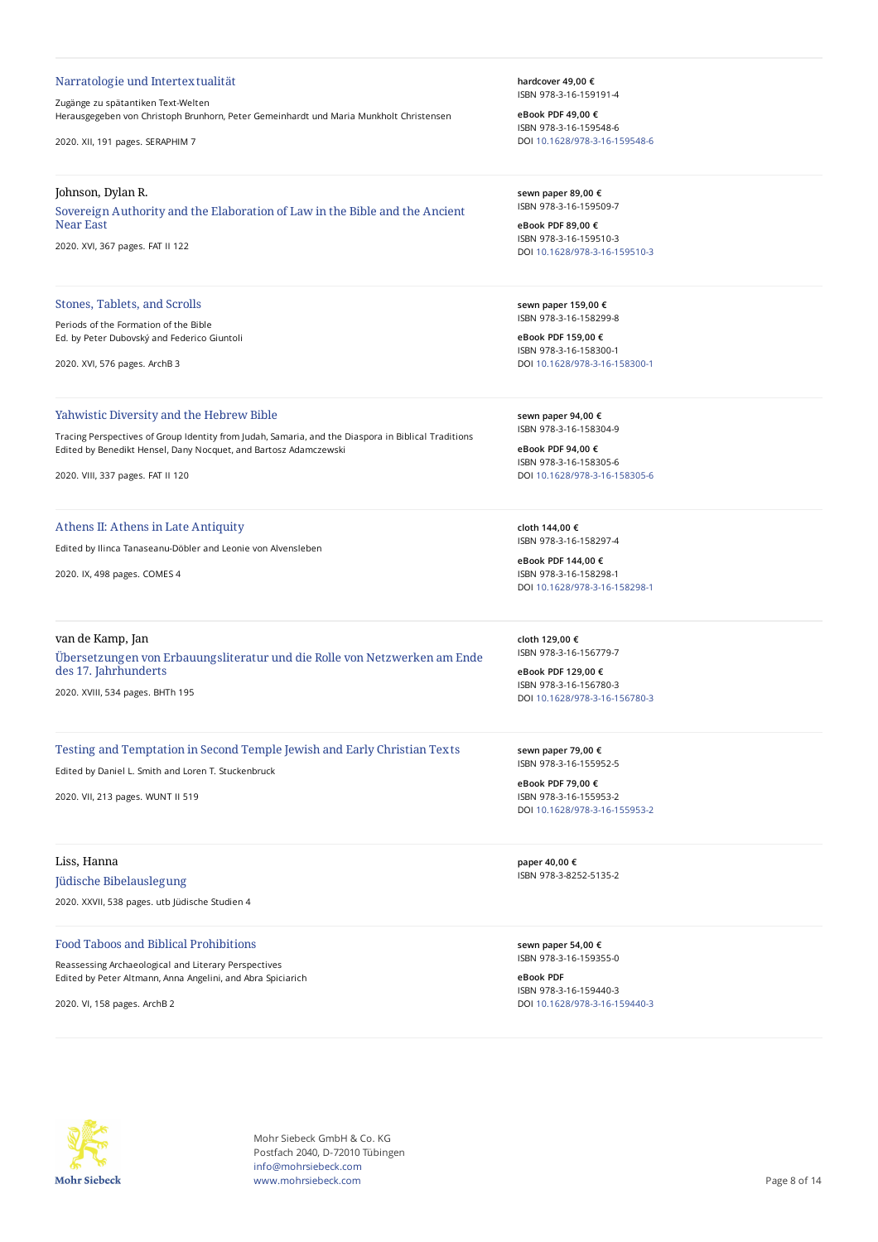#### Narratologie und Intertextualität

## Zugänge zu spätantiken Text-Welten Herausgegeben von Christoph Brunhorn, Peter Gemeinhardt und Maria Munkholt Christensen

2020. XII, 191 pages. SERAPHIM 7

#### Johnson, Dylan R.

Sovereign Authority and the Elaboration of Law in the Bible and the Ancient Near East

2020. XVI, 367 pages. FAT II 122

## Stones, Tablets, and Scrolls

Periods of the Formation of the Bible Ed. by Peter Dubovský and Federico Giuntoli

2020. XVI, 576 pages. ArchB 3

#### Yahwistic Diversity and the Hebrew Bible

Tracing Perspectives of Group Identity from Judah, Samaria, and the Diaspora in Biblical Traditions Edited by Benedikt Hensel, Dany Nocquet, and Bartosz Adamczewski

2020. VIII, 337 pages. FAT II 120

#### Athens II: Athens in Late Antiquity

Edited by Ilinca Tanaseanu-Döbler and Leonie von Alvensleben

2020. IX, 498 pages. COMES 4

## van de Kamp, Jan

Übersetzungen von Erbauungsliteratur und die Rolle von Netzwerken am Ende des 17. Jahrhunderts 2020. XVIII, 534 pages. BHTh 195

# Testing and Temptation in Second Temple Jewish and Early Christian Texts

Edited by Daniel L. Smith and Loren T. Stuckenbruck

2020. VII, 213 pages. WUNT II 519

## Liss, Hanna

## Jüdische Bibelauslegung

2020. XXVII, 538 pages. utb Jüdische Studien 4

## Food Taboos and Biblical Prohibitions

Reassessing Archaeological and Literary Perspectives Edited by Peter Altmann, Anna Angelini, and Abra Spiciarich

2020. VI, 158 pages. ArchB 2

**hardcover 49,00 €** ISBN 978-3-16-159191-4

**eBook PDF 49,00 €** ISBN 978-3-16-159548-6 DOI [10.1628/978-3-16-159548-6](https://doi.org/10.1628/978-3-16-159548-6)

**sewn paper 89,00 €** ISBN 978-3-16-159509-7

**eBook PDF 89,00 €** ISBN 978-3-16-159510-3 DOI [10.1628/978-3-16-159510-3](https://doi.org/10.1628/978-3-16-159510-3)

**sewn paper 159,00 €** ISBN 978-3-16-158299-8

**eBook PDF 159,00 €** ISBN 978-3-16-158300-1 DOI [10.1628/978-3-16-158300-1](https://doi.org/10.1628/978-3-16-158300-1)

**sewn paper 94,00 €** ISBN 978-3-16-158304-9

**eBook PDF 94,00 €** ISBN 978-3-16-158305-6 DOI [10.1628/978-3-16-158305-6](https://doi.org/10.1628/978-3-16-158305-6)

**cloth 144,00 €** ISBN 978-3-16-158297-4

**eBook PDF 144,00 €** ISBN 978-3-16-158298-1 DOI [10.1628/978-3-16-158298-1](https://doi.org/10.1628/978-3-16-158298-1)

**cloth 129,00 €** ISBN 978-3-16-156779-7

**eBook PDF 129,00 €** ISBN 978-3-16-156780-3 DOI [10.1628/978-3-16-156780-3](https://doi.org/10.1628/978-3-16-156780-3)

**sewn paper 79,00 €** ISBN 978-3-16-155952-5

**eBook PDF 79,00 €** ISBN 978-3-16-155953-2 DOI [10.1628/978-3-16-155953-2](https://doi.org/10.1628/978-3-16-155953-2)

**paper 40,00 €** ISBN 978-3-8252-5135-2

**sewn paper 54,00 €** ISBN 978-3-16-159355-0

**eBook PDF** ISBN 978-3-16-159440-3 DOI [10.1628/978-3-16-159440-3](https://doi.org/10.1628/978-3-16-159440-3)



Mohr Siebeck GmbH & Co. KG Postfach 2040, D-72010 Tübingen info@mohrsiebeck.com www.mohrsiebeck.com **Page 8 of 14**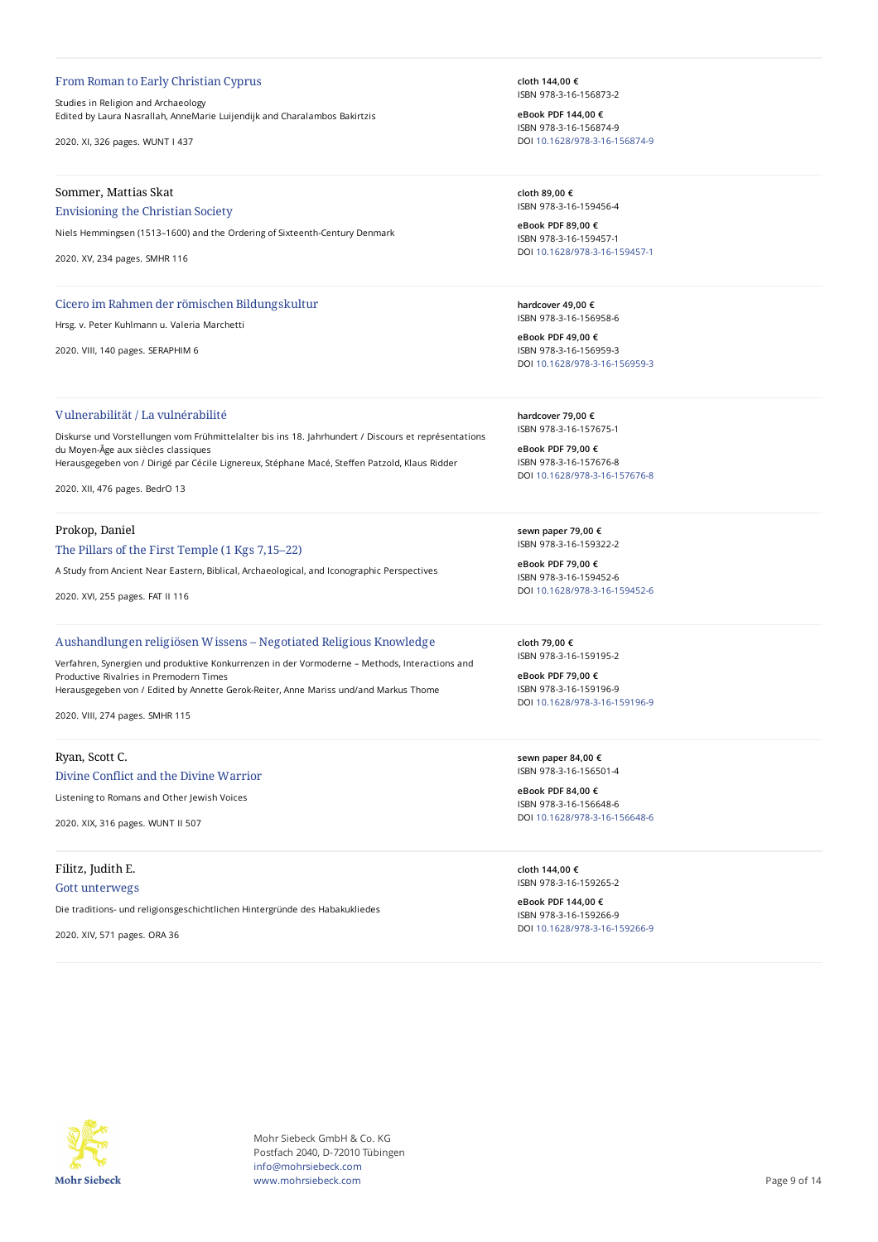#### From Roman to Early Christian Cyprus

Studies in Religion and Archaeology Edited by Laura Nasrallah, AnneMarie Luijendijk and Charalambos Bakirtzis

2020. XI, 326 pages. WUNT I 437

## Sommer, Mattias Skat

## Envisioning the Christian Society

Niels Hemmingsen (1513–1600) and the Ordering of Sixteenth-Century Denmark

2020. XV, 234 pages. SMHR 116

#### Cicero im Rahmen der römischen Bildungskultur

Hrsg. v. Peter Kuhlmann u. Valeria Marchetti

2020. VIII, 140 pages. SERAPHIM 6

## Vulnerabilität / La vulnérabilité

Diskurse und Vorstellungen vom Frühmittelalter bis ins 18. Jahrhundert / Discours et représentations du Moyen-Âge aux siècles classiques Herausgegeben von / Dirigé par Cécile Lignereux, Stéphane Macé, Steffen Patzold, Klaus Ridder

2020. XII, 476 pages. BedrO 13

#### Prokop, Daniel

#### The Pillars of the First Temple (1 Kgs 7,15–22)

A Study from Ancient Near Eastern, Biblical, Archaeological, and Iconographic Perspectives

2020. XVI, 255 pages. FAT II 116

#### Aushandlungen religiösen Wissens – Negotiated Religious Knowledge

Verfahren, Synergien und produktive Konkurrenzen in der Vormoderne – Methods, Interactions and Productive Rivalries in Premodern Times Herausgegeben von / Edited by Annette Gerok-Reiter, Anne Mariss und/and Markus Thome

2020. VIII, 274 pages. SMHR 115

#### Ryan, Scott C.

## Divine Conflict and the Divine Warrior

Listening to Romans and Other Jewish Voices

2020. XIX, 316 pages. WUNT II 507

## Filitz, Judith E.

#### Gott unterwegs

Die traditions- und religionsgeschichtlichen Hintergründe des Habakukliedes

2020. XIV, 571 pages. ORA 36

**cloth 144,00 €** ISBN 978-3-16-156873-2

**eBook PDF 144,00 €** ISBN 978-3-16-156874-9 DOI [10.1628/978-3-16-156874-9](https://doi.org/10.1628/978-3-16-156874-9)

**cloth 89,00 €** ISBN 978-3-16-159456-4

**eBook PDF 89,00 €** ISBN 978-3-16-159457-1 DOI [10.1628/978-3-16-159457-1](https://doi.org/10.1628/978-3-16-159457-1)

**hardcover 49,00 €** ISBN 978-3-16-156958-6

**eBook PDF 49,00 €** ISBN 978-3-16-156959-3 DOI [10.1628/978-3-16-156959-3](https://doi.org/10.1628/978-3-16-156959-3)

**hardcover 79,00 €** ISBN 978-3-16-157675-1

**eBook PDF 79,00 €** ISBN 978-3-16-157676-8 DOI [10.1628/978-3-16-157676-8](https://doi.org/10.1628/978-3-16-157676-8)

**sewn paper 79,00 €** ISBN 978-3-16-159322-2

**eBook PDF 79,00 €** ISBN 978-3-16-159452-6 DOI [10.1628/978-3-16-159452-6](https://doi.org/10.1628/978-3-16-159452-6)

**cloth 79,00 €** ISBN 978-3-16-159195-2

**eBook PDF 79,00 €** ISBN 978-3-16-159196-9 DOI [10.1628/978-3-16-159196-9](https://doi.org/10.1628/978-3-16-159196-9)

**sewn paper 84,00 €** ISBN 978-3-16-156501-4

**eBook PDF 84,00 €** ISBN 978-3-16-156648-6 DOI [10.1628/978-3-16-156648-6](https://doi.org/10.1628/978-3-16-156648-6)

**cloth 144,00 €** ISBN 978-3-16-159265-2

**eBook PDF 144,00 €** ISBN 978-3-16-159266-9 DOI [10.1628/978-3-16-159266-9](https://doi.org/10.1628/978-3-16-159266-9)



Mohr Siebeck GmbH & Co. KG Postfach 2040, D-72010 Tübingen info@mohrsiebeck.com www.mohrsiebeck.com **Page 9 of 14**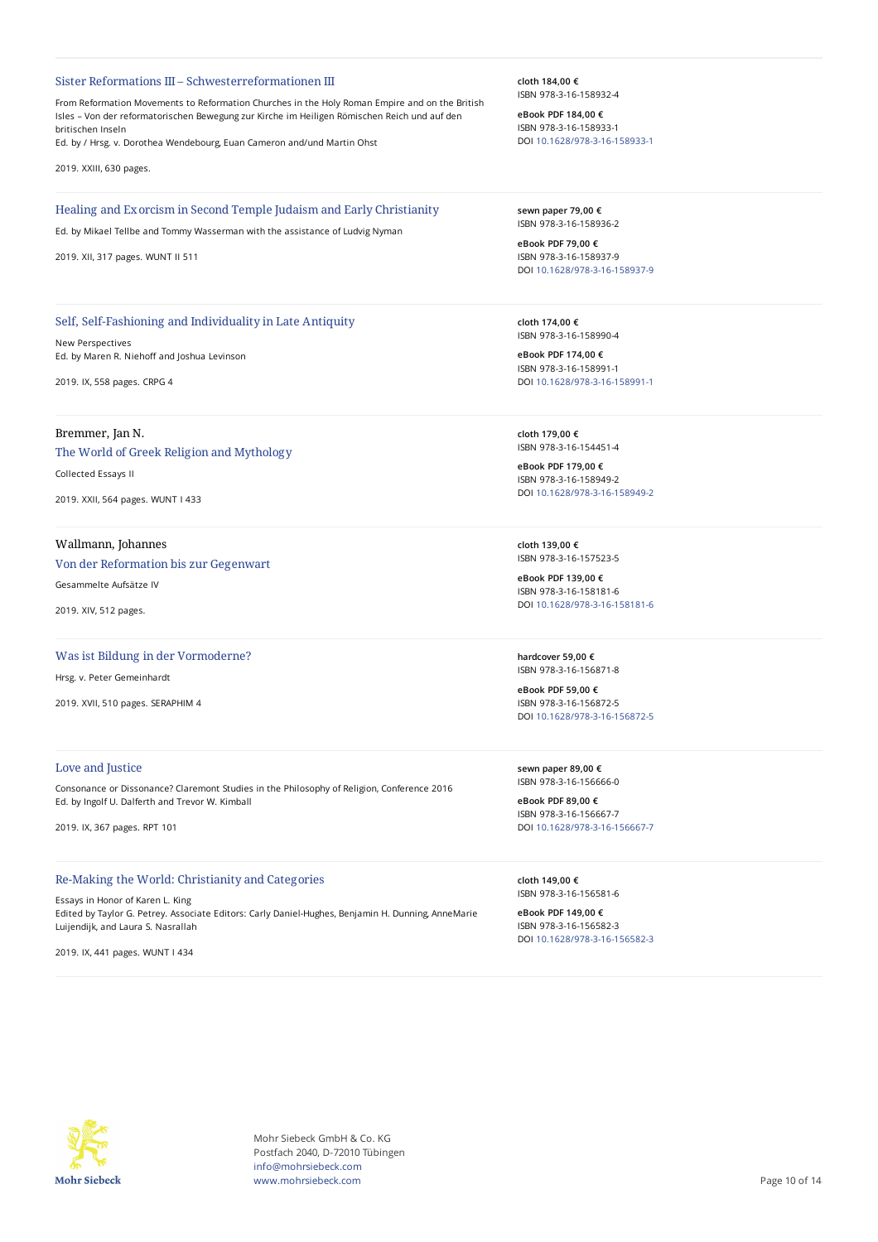#### Sister Reformations III – Schwesterreformationen III

From Reformation Movements to Reformation Churches in the Holy Roman Empire and on the British Isles – Von der reformatorischen Bewegung zur Kirche im Heiligen Römischen Reich und auf den britischen Inseln

Ed. by / Hrsg. v. Dorothea Wendebourg, Euan Cameron and/und Martin Ohst

2019. XXIII, 630 pages.

#### Healing and Exorcism in Second Temple Judaism and Early Christianity

Ed. by Mikael Tellbe and Tommy Wasserman with the assistance of Ludvig Nyman

2019. XII, 317 pages. WUNT II 511

## Self, Self-Fashioning and Individuality in Late Antiquity

New Perspectives Ed. by Maren R. Niehoff and Joshua Levinson

2019. IX, 558 pages. CRPG 4

## Bremmer, Jan N.

## The World of Greek Religion and Mythology

Collected Essays II

2019. XXII, 564 pages. WUNT I 433

## Wallmann, Johannes

# Von der Reformation bis zur Gegenwart

Gesammelte Aufsätze IV

2019. XIV, 512 pages.

## Was ist Bildung in der Vormoderne?

Hrsg. v. Peter Gemeinhardt

2019. XVII, 510 pages. SERAPHIM 4

## Love and Justice

Consonance or Dissonance? Claremont Studies in the Philosophy of Religion, Conference 2016 Ed. by Ingolf U. Dalferth and Trevor W. Kimball

2019. IX, 367 pages. RPT 101

## Re-Making the World: Christianity and Categories

Essays in Honor of Karen L. King Edited by Taylor G. Petrey. Associate Editors: Carly Daniel-Hughes, Benjamin H. Dunning, AnneMarie Luijendijk, and Laura S. Nasrallah

2019. IX, 441 pages. WUNT I 434

**cloth 184,00 €** ISBN 978-3-16-158932-4

**eBook PDF 184,00 €** ISBN 978-3-16-158933-1 DOI [10.1628/978-3-16-158933-1](https://doi.org/10.1628/978-3-16-158933-1)

**sewn paper 79,00 €** ISBN 978-3-16-158936-2

**eBook PDF 79,00 €** ISBN 978-3-16-158937-9 DOI [10.1628/978-3-16-158937-9](https://doi.org/10.1628/978-3-16-158937-9)

**cloth 174,00 €** ISBN 978-3-16-158990-4

**eBook PDF 174,00 €** ISBN 978-3-16-158991-1 DOI [10.1628/978-3-16-158991-1](https://doi.org/10.1628/978-3-16-158991-1)

**cloth 179,00 €** ISBN 978-3-16-154451-4

**eBook PDF 179,00 €** ISBN 978-3-16-158949-2 DOI [10.1628/978-3-16-158949-2](https://doi.org/10.1628/978-3-16-158949-2)

**cloth 139,00 €** ISBN 978-3-16-157523-5

**eBook PDF 139,00 €** ISBN 978-3-16-158181-6 DOI [10.1628/978-3-16-158181-6](https://doi.org/10.1628/978-3-16-158181-6)

**hardcover 59,00 €** ISBN 978-3-16-156871-8

**eBook PDF 59,00 €** ISBN 978-3-16-156872-5 DOI [10.1628/978-3-16-156872-5](https://doi.org/10.1628/978-3-16-156872-5)

**sewn paper 89,00 €** ISBN 978-3-16-156666-0

**eBook PDF 89,00 €** ISBN 978-3-16-156667-7 DOI [10.1628/978-3-16-156667-7](https://doi.org/10.1628/978-3-16-156667-7)

**cloth 149,00 €** ISBN 978-3-16-156581-6

**eBook PDF 149,00 €** ISBN 978-3-16-156582-3 DOI [10.1628/978-3-16-156582-3](https://doi.org/10.1628/978-3-16-156582-3)



Mohr Siebeck GmbH & Co. KG Postfach 2040, D-72010 Tübingen info@mohrsiebeck.com www.mohrsiebeck.com **Page 10 of 14**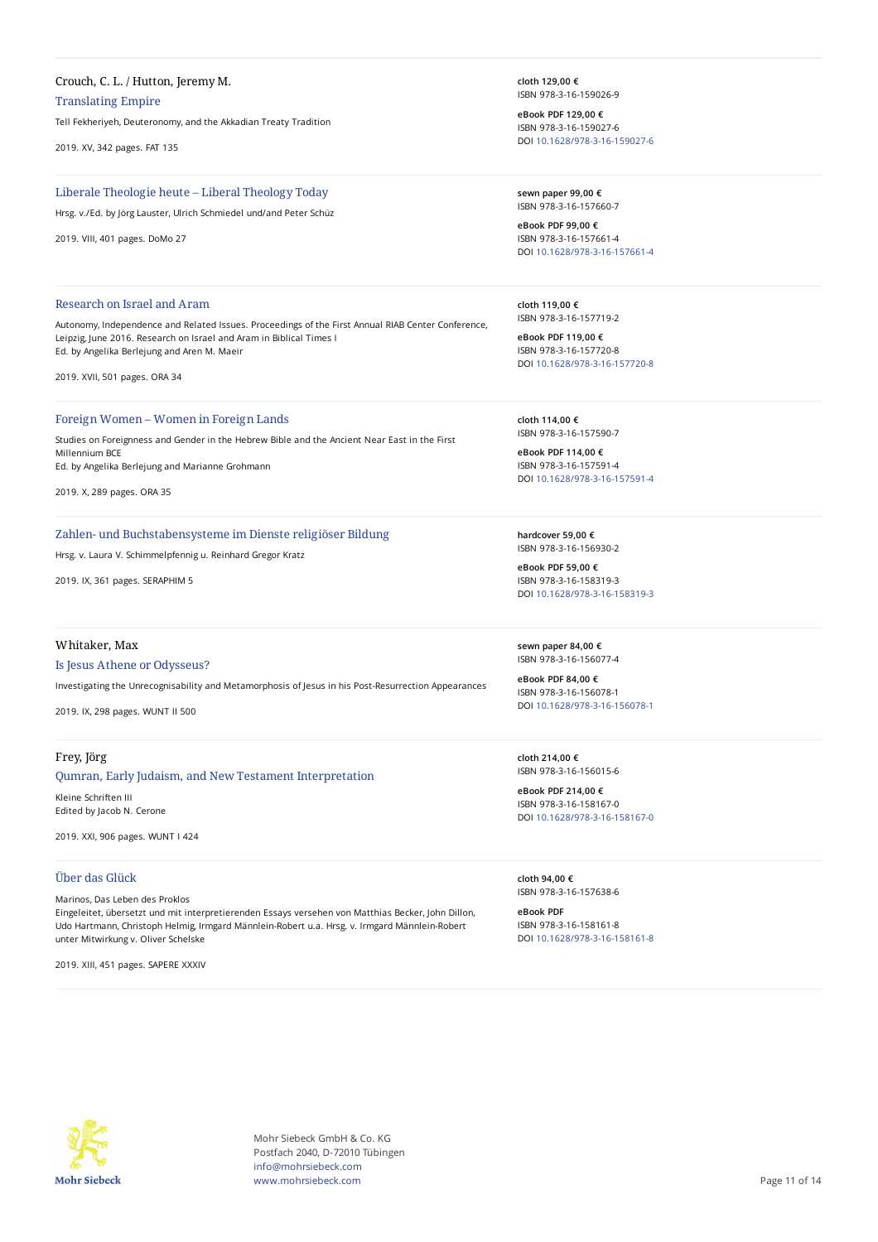# Crouch, C. L. / Hutton, Jeremy M.

Translating Empire

Tell Fekheriyeh, Deuteronomy, and the Akkadian Treaty Tradition

2019. XV, 342 pages. FAT 135

## Liberale Theologie heute – Liberal Theology Today

Hrsg. v./Ed. by Jörg Lauster, Ulrich Schmiedel und/and Peter Schüz

2019. VIII, 401 pages. DoMo 27

## Research on Israel and Aram

Autonomy, Independence and Related Issues. Proceedings of the First Annual RIAB Center Conference, Leipzig, June 2016. Research on Israel and Aram in Biblical Times I Ed. by Angelika Berlejung and Aren M. Maeir

2019. XVII, 501 pages. ORA 34

## Foreign Women – Women in Foreign Lands

Studies on Foreignness and Gender in the Hebrew Bible and the Ancient Near East in the First Millennium BCE Ed. by Angelika Berlejung and Marianne Grohmann

2019. X, 289 pages. ORA 35

#### Zahlen- und Buchstabensysteme im Dienste religiöser Bildung

Hrsg. v. Laura V. Schimmelpfennig u. Reinhard Gregor Kratz

2019. IX, 361 pages. SERAPHIM 5

### Whitaker, Max

### Is Jesus Athene or Odysseus?

Investigating the Unrecognisability and Metamorphosis of Jesus in his Post-Resurrection Appearances

2019. IX, 298 pages. WUNT II 500

## Frey, Jörg

### Qumran, Early Judaism, and New Testament Interpretation

Kleine Schriften III Edited by Jacob N. Cerone

2019. XXI, 906 pages. WUNT I 424

## Über das Glück

#### Marinos, Das Leben des Proklos

Eingeleitet, übersetzt und mit interpretierenden Essays versehen von Matthias Becker, John Dillon, Udo Hartmann, Christoph Helmig, Irmgard Männlein-Robert u.a. Hrsg. v. Irmgard Männlein-Robert unter Mitwirkung v. Oliver Schelske

2019. XIII, 451 pages. SAPERE XXXIV

**cloth 129,00 €** ISBN 978-3-16-159026-9

**eBook PDF 129,00 €** ISBN 978-3-16-159027-6 DOI [10.1628/978-3-16-159027-6](https://doi.org/10.1628/978-3-16-159027-6)

**sewn paper 99,00 €** ISBN 978-3-16-157660-7

**eBook PDF 99,00 €** ISBN 978-3-16-157661-4 DOI [10.1628/978-3-16-157661-4](https://doi.org/10.1628/978-3-16-157661-4)

**cloth 119,00 €** ISBN 978-3-16-157719-2

**eBook PDF 119,00 €** ISBN 978-3-16-157720-8 DOI [10.1628/978-3-16-157720-8](https://doi.org/10.1628/978-3-16-157720-8)

**cloth 114,00 €** ISBN 978-3-16-157590-7

**eBook PDF 114,00 €** ISBN 978-3-16-157591-4 DOI [10.1628/978-3-16-157591-4](https://doi.org/10.1628/978-3-16-157591-4)

**hardcover 59,00 €** ISBN 978-3-16-156930-2

**eBook PDF 59,00 €** ISBN 978-3-16-158319-3 DOI [10.1628/978-3-16-158319-3](https://doi.org/10.1628/978-3-16-158319-3)

**sewn paper 84,00 €** ISBN 978-3-16-156077-4

**eBook PDF 84,00 €** ISBN 978-3-16-156078-1 DOI [10.1628/978-3-16-156078-1](https://doi.org/10.1628/978-3-16-156078-1)

**cloth 214,00 €** ISBN 978-3-16-156015-6

**eBook PDF 214,00 €** ISBN 978-3-16-158167-0 DOI [10.1628/978-3-16-158167-0](https://doi.org/10.1628/978-3-16-158167-0)

**cloth 94,00 €** ISBN 978-3-16-157638-6

**eBook PDF** ISBN 978-3-16-158161-8 DOI [10.1628/978-3-16-158161-8](https://doi.org/10.1628/978-3-16-158161-8)



Mohr Siebeck GmbH & Co. KG Postfach 2040, D-72010 Tübingen info@mohrsiebeck.com www.mohrsiebeck.com **Page 11 of 14**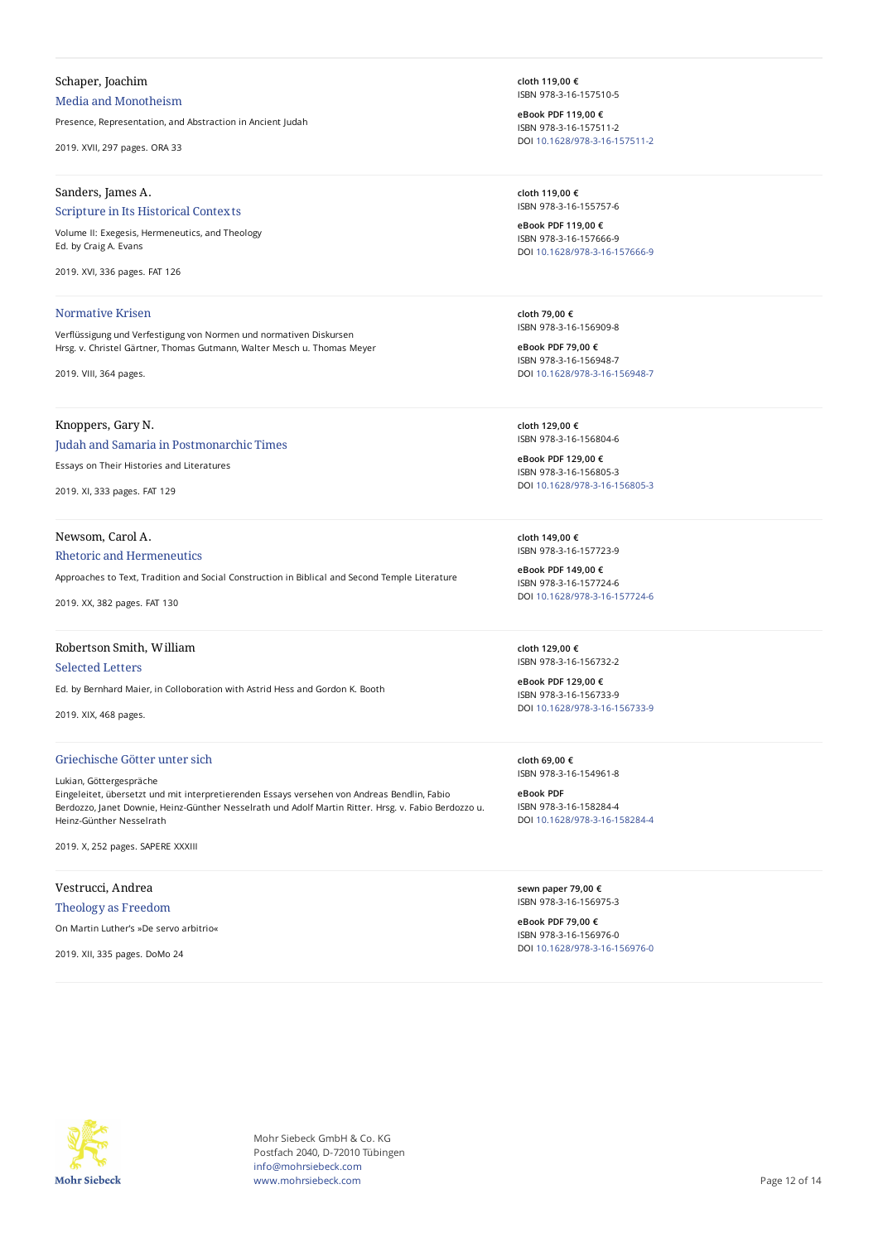# Schaper, Joachim Media and Monotheism

Presence, Representation, and Abstraction in Ancient Judah

2019. XVII, 297 pages. ORA 33

## Sanders, James A.

## Scripture in Its Historical Contexts

Volume II: Exegesis, Hermeneutics, and Theology Ed. by Craig A. Evans

2019. XVI, 336 pages. FAT 126

#### Normative Krisen

VerTüssigung und Verfestigung von Normen und normativen Diskursen Hrsg. v. Christel Gärtner, Thomas Gutmann, Walter Mesch u. Thomas Meyer

2019. VIII, 364 pages.

## Knoppers, Gary N.

## Judah and Samaria in Postmonarchic Times

Essays on Their Histories and Literatures

2019. XI, 333 pages. FAT 129

#### Newsom, Carol A.

#### Rhetoric and Hermeneutics

Approaches to Text, Tradition and Social Construction in Biblical and Second Temple Literature

2019. XX, 382 pages. FAT 130

## Robertson Smith, William

#### Selected Letters

Ed. by Bernhard Maier, in Colloboration with Astrid Hess and Gordon K. Booth

2019. XIX, 468 pages.

## Griechische Götter unter sich

Lukian, Göttergespräche Eingeleitet, übersetzt und mit interpretierenden Essays versehen von Andreas Bendlin, Fabio Berdozzo, Janet Downie, Heinz-Günther Nesselrath und Adolf Martin Ritter. Hrsg. v. Fabio Berdozzo u. Heinz-Günther Nesselrath

2019. X, 252 pages. SAPERE XXXIII

# Vestrucci, Andrea

Theology as Freedom

On Martin Luther's »De servo arbitrio«

2019. XII, 335 pages. DoMo 24

**cloth 119,00 €** ISBN 978-3-16-157510-5

**eBook PDF 119,00 €** ISBN 978-3-16-157511-2 DOI [10.1628/978-3-16-157511-2](https://doi.org/10.1628/978-3-16-157511-2)

**cloth 119,00 €** ISBN 978-3-16-155757-6

**eBook PDF 119,00 €** ISBN 978-3-16-157666-9 DOI [10.1628/978-3-16-157666-9](https://doi.org/10.1628/978-3-16-157666-9)

**cloth 79,00 €** ISBN 978-3-16-156909-8

**eBook PDF 79,00 €** ISBN 978-3-16-156948-7 DOI [10.1628/978-3-16-156948-7](https://doi.org/10.1628/978-3-16-156948-7)

**cloth 129,00 €** ISBN 978-3-16-156804-6

**eBook PDF 129,00 €** ISBN 978-3-16-156805-3 DOI [10.1628/978-3-16-156805-3](https://doi.org/10.1628/978-3-16-156805-3)

**cloth 149,00 €** ISBN 978-3-16-157723-9

**eBook PDF 149,00 €** ISBN 978-3-16-157724-6 DOI [10.1628/978-3-16-157724-6](https://doi.org/10.1628/978-3-16-157724-6)

**cloth 129,00 €** ISBN 978-3-16-156732-2

**eBook PDF 129,00 €** ISBN 978-3-16-156733-9 DOI [10.1628/978-3-16-156733-9](https://doi.org/10.1628/978-3-16-156733-9)

**cloth 69,00 €** ISBN 978-3-16-154961-8

**eBook PDF** ISBN 978-3-16-158284-4 DOI [10.1628/978-3-16-158284-4](https://doi.org/10.1628/978-3-16-158284-4)

**sewn paper 79,00 €** ISBN 978-3-16-156975-3

**eBook PDF 79,00 €** ISBN 978-3-16-156976-0 DOI [10.1628/978-3-16-156976-0](https://doi.org/10.1628/978-3-16-156976-0)



Mohr Siebeck GmbH & Co. KG Postfach 2040, D-72010 Tübingen info@mohrsiebeck.com www.mohrsiebeck.com **Page 12 of 14**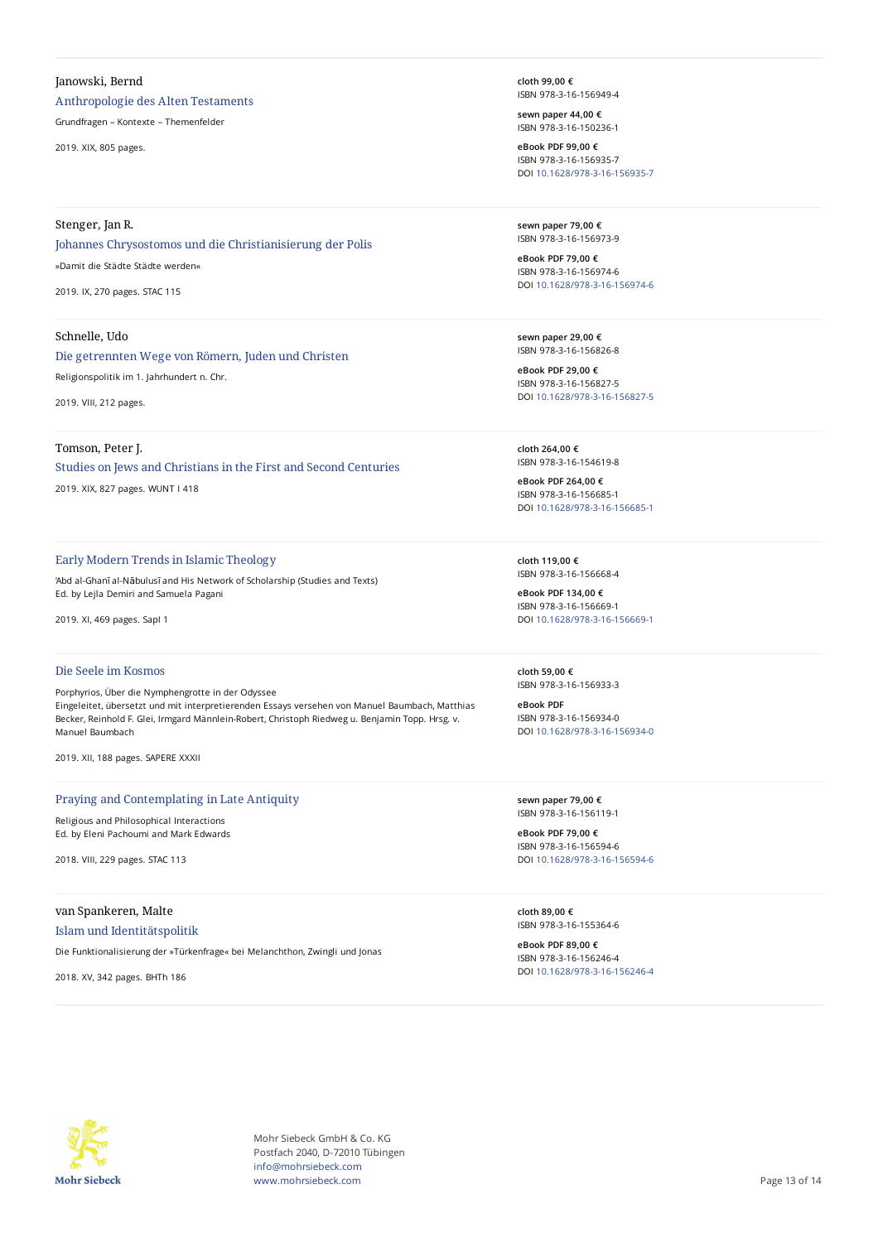## Janowski, Bernd

Anthropologie des Alten Testaments

Grundfragen – Kontexte – Themenfelder

2019. XIX, 805 pages.

# Stenger, Jan R.

# Johannes Chrysostomos und die Christianisierung der Polis »Damit die Städte Städte werden«

2019. IX, 270 pages. STAC 115

## Schnelle, Udo

# Die getrennten Wege von Römern, Juden und Christen Religionspolitik im 1. Jahrhundert n. Chr.

2019. VIII, 212 pages.

## Tomson, Peter J.

# Studies on Jews and Christians in the First and Second Centuries 2019. XIX, 827 pages. WUNT I 418

## Early Modern Trends in Islamic Theology

'Abd al-Ghanī al-Nābulusī and His Network of Scholarship (Studies and Texts) Ed. by Lejla Demiri and Samuela Pagani

2019. XI, 469 pages. SapI 1

# Die Seele im Kosmos

Porphyrios, Über die Nymphengrotte in der Odyssee Eingeleitet, übersetzt und mit interpretierenden Essays versehen von Manuel Baumbach, Matthias Becker, Reinhold F. Glei, Irmgard Männlein-Robert, Christoph Riedweg u. Benjamin Topp. Hrsg. v. Manuel Baumbach

2019. XII, 188 pages. SAPERE XXXII

## Praying and Contemplating in Late Antiquity

Religious and Philosophical Interactions Ed. by Eleni Pachoumi and Mark Edwards

2018. VIII, 229 pages. STAC 113

## van Spankeren, Malte

Islam und Identitätspolitik

Die Funktionalisierung der »Türkenfrage« bei Melanchthon, Zwingli und Jonas

2018. XV, 342 pages. BHTh 186

**cloth 99,00 €** ISBN 978-3-16-156949-4

**sewn paper 44,00 €** ISBN 978-3-16-150236-1

**eBook PDF 99,00 €** ISBN 978-3-16-156935-7 DOI [10.1628/978-3-16-156935-7](https://doi.org/10.1628/978-3-16-156935-7)

**sewn paper 79,00 €** ISBN 978-3-16-156973-9

**eBook PDF 79,00 €** ISBN 978-3-16-156974-6 DOI [10.1628/978-3-16-156974-6](https://doi.org/10.1628/978-3-16-156974-6)

**sewn paper 29,00 €** ISBN 978-3-16-156826-8

**eBook PDF 29,00 €** ISBN 978-3-16-156827-5 DOI [10.1628/978-3-16-156827-5](https://doi.org/10.1628/978-3-16-156827-5)

**cloth 264,00 €** ISBN 978-3-16-154619-8

**eBook PDF 264,00 €** ISBN 978-3-16-156685-1 DOI [10.1628/978-3-16-156685-1](https://doi.org/10.1628/978-3-16-156685-1)

**cloth 119,00 €** ISBN 978-3-16-156668-4

**eBook PDF 134,00 €** ISBN 978-3-16-156669-1 DOI [10.1628/978-3-16-156669-1](https://doi.org/10.1628/978-3-16-156669-1)

**cloth 59,00 €** ISBN 978-3-16-156933-3

**eBook PDF** ISBN 978-3-16-156934-0 DOI [10.1628/978-3-16-156934-0](https://doi.org/10.1628/978-3-16-156934-0)

**sewn paper 79,00 €** ISBN 978-3-16-156119-1

**eBook PDF 79,00 €** ISBN 978-3-16-156594-6 DOI [10.1628/978-3-16-156594-6](https://doi.org/10.1628/978-3-16-156594-6)

**cloth 89,00 €** ISBN 978-3-16-155364-6

**eBook PDF 89,00 €** ISBN 978-3-16-156246-4 DOI [10.1628/978-3-16-156246-4](https://doi.org/10.1628/978-3-16-156246-4)



Mohr Siebeck GmbH & Co. KG Postfach 2040, D-72010 Tübingen info@mohrsiebeck.com www.mohrsiebeck.com **Page 13 of 14**